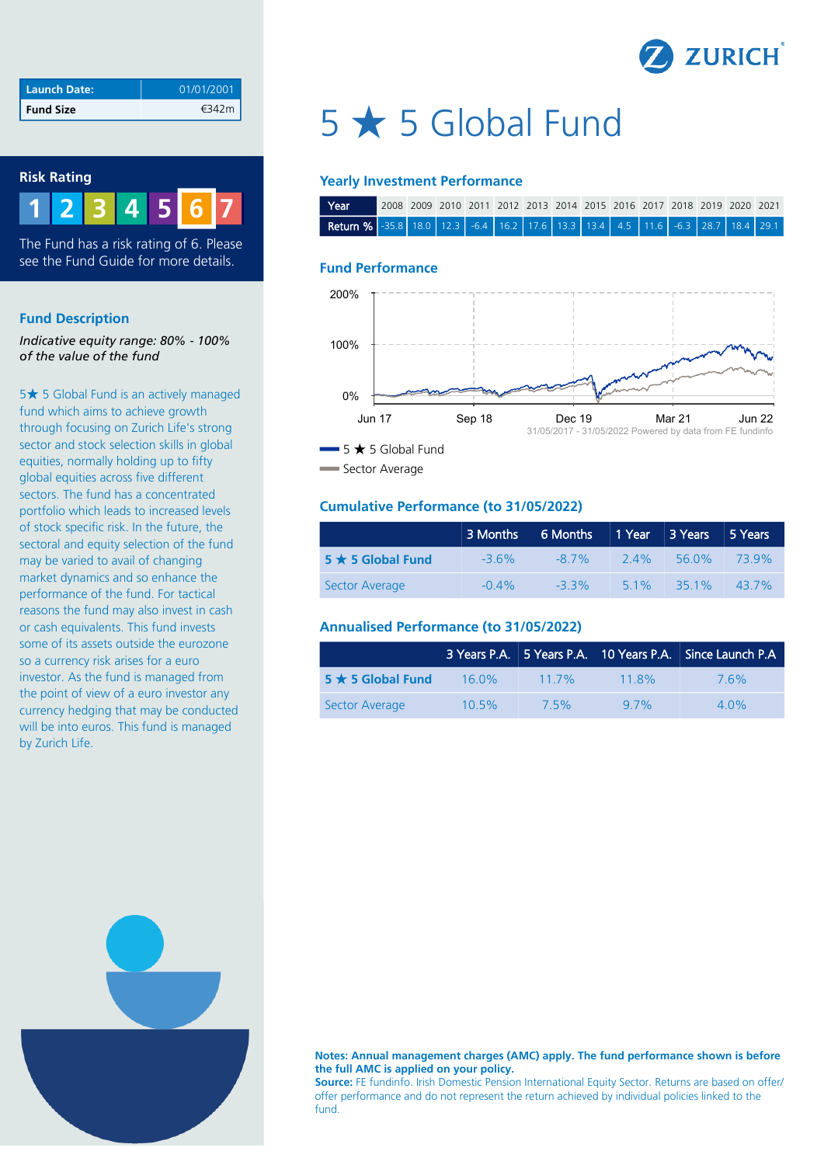

| Launch Date:     | 01/01/2001 |
|------------------|------------|
| <b>Fund Size</b> |            |

## **Risk Rating**



The Fund has a risk rating of 6. Please see the Fund Guide for more details.

#### **Fund Description**

*Indicative equity range: 80% - 100% of the value of the fund*

5★ 5 Global Fund is an actively managed fund which aims to achieve growth through focusing on Zurich Life's strong sector and stock selection skills in global equities, normally holding up to fifty global equities across five different sectors. The fund has a concentrated portfolio which leads to increased levels of stock specific risk. In the future, the sectoral and equity selection of the fund may be varied to avail of changing market dynamics and so enhance the performance of the fund. For tactical reasons the fund may also invest in cash or cash equivalents. This fund invests some of its assets outside the eurozone so a currency risk arises for a euro investor. As the fund is managed from the point of view of a euro investor any currency hedging that may be conducted will be into euros. This fund is managed by Zurich Life.

# 5 ★ 5 Global Fund

#### **Yearly Investment Performance**

| Year                                                                                  | , 2008 2009 2010 2011 2012 2013 2014 2015 2016 2017 2018 2019 2020 2021 |  |  |  |  |  |  |  |
|---------------------------------------------------------------------------------------|-------------------------------------------------------------------------|--|--|--|--|--|--|--|
| <b>Return %</b> -35.8 18.0 12.3 -6.4 16.2 17.6 13.3 13.4 4.5 11.6 -6.3 28.7 18.4 29.1 |                                                                         |  |  |  |  |  |  |  |

#### **Fund Performance**



Sector Average

## **Cumulative Performance (to 31/05/2022)**

|                         | 3 Months | 6 Months   1 Year   3 Years   5 Years |        |             |       |
|-------------------------|----------|---------------------------------------|--------|-------------|-------|
| $5 \star 5$ Global Fund | $-3.6\%$ | $-8.7\%$                              | 24%    | 56.0% 73.9% |       |
| Sector Average          | $-0.4\%$ | $-3.3\%$                              | $51\%$ | $35.1\%$    | 43.7% |

# **Annualised Performance (to 31/05/2022)**

|                         |          |         |          | 3 Years P.A. 5 Years P.A. 10 Years P.A. Since Launch P.A. |
|-------------------------|----------|---------|----------|-----------------------------------------------------------|
| $5 \star 5$ Global Fund | $16.0\%$ | $117\%$ | $11.8\%$ | 76%                                                       |
| Sector Average          | $10.5\%$ | 7.5%    | $97\%$   | $4.0\%$                                                   |



#### **Notes: Annual management charges (AMC) apply. The fund performance shown is before the full AMC is applied on your policy.**

**Source:** FE fundinfo. Irish Domestic Pension International Equity Sector. Returns are based on offer/ offer performance and do not represent the return achieved by individual policies linked to the fund.